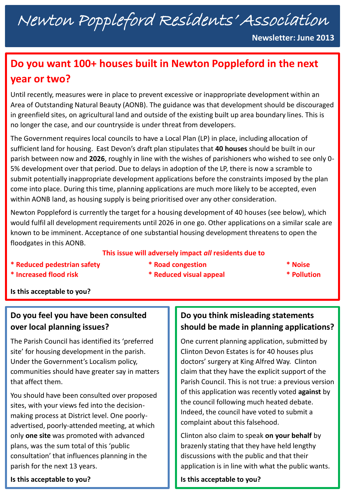# Newton Poppleford Residents' Association

**Newsletter: June 2013**

## **Do you want 100+ houses built in Newton Poppleford in the next year or two?**

Until recently, measures were in place to prevent excessive or inappropriate development within an Area of Outstanding Natural Beauty (AONB). The guidance was that development should be discouraged in greenfield sites, on agricultural land and outside of the existing built up area boundary lines. This is no longer the case, and our countryside is under threat from developers.

The Government requires local councils to have a Local Plan (LP) in place, including allocation of sufficient land for housing. East Devon's draft plan stipulates that **40 houses** should be built in our parish between now and **2026**, roughly in line with the wishes of parishioners who wished to see only 0- 5% development over that period. Due to delays in adoption of the LP, there is now a scramble to submit potentially inappropriate development applications before the constraints imposed by the plan come into place. During this time, planning applications are much more likely to be accepted, even within AONB land, as housing supply is being prioritised over any other consideration.

Newton Poppleford is currently the target for a housing development of 40 houses (see below), which would fulfil all development requirements until 2026 in one go. Other applications on a similar scale are known to be imminent. Acceptance of one substantial housing development threatens to open the floodgates in this AONB.

#### **This issue will adversely impact** *all* **residents due to**

- **\* Reduced pedestrian safety \* Road congestion \* Noise**
- **\* Increased flood risk \* Reduced visual appeal \* Pollution**
- 

**Is this acceptable to you?** 

## **Do you feel you have been consulted over local planning issues?**

The Parish Council has identified its 'preferred site' for housing development in the parish. Under the Government's Localism policy, communities should have greater say in matters that affect them.

You should have been consulted over proposed sites, with your views fed into the decisionmaking process at District level. One poorlyadvertised, poorly-attended meeting, at which only **one site** was promoted with advanced plans, was the sum total of this 'public consultation' that influences planning in the parish for the next 13 years.

#### **Is this acceptable to you?**

## **Do you think misleading statements should be made in planning applications?**

One current planning application, submitted by Clinton Devon Estates is for 40 houses plus doctors' surgery at King Alfred Way. Clinton claim that they have the explicit support of the Parish Council. This is not true: a previous version of this application was recently voted **against** by the council following much heated debate. Indeed, the council have voted to submit a complaint about this falsehood.

Clinton also claim to speak **on your behalf** by brazenly stating that they have held lengthy discussions with the public and that their application is in line with what the public wants.

**Is this acceptable to you?**